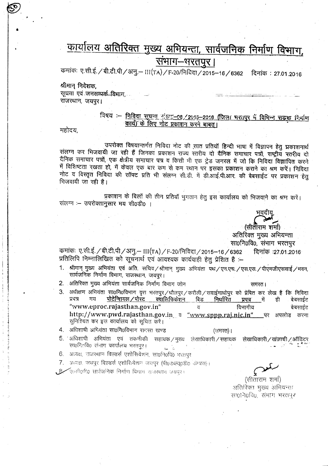# कार्यालय अतिरिक्त मुख्य अभियन्ता, सार्वजनिक निर्माण विभाग, सभाग—भरतपुर |

कमांकः ए.सी.ई. / बी.टी.पी / अनु.— III(TA) / F-20/निविदा / 2015–16 / 6362 दिनांक : 27.01.2016

श्रीमान निदेशक, सूचना एवं जनसम्पर्क विभाग, राजस्थान, जयपुर।

> विषय :- निविदा सूचना अंडा: 08, 2015-2016 (जिला भरतपुर में विभिन्न सड़क निर्माण कार्य) के लिए नोट प्रकाशन करने बाबत् ।

महोदय,

उपरोक्त विषयान्तर्गत निविदा नोट की सात प्रतियाँ हिन्दी भाषा में विज्ञापन हेतु प्रकाशनार्थ संलग्न कर भिजवायी जा रही हैं जिनका प्रकाशन राज्य रतरीय दो दैनिक समाचार पत्रों, राष्ट्रीय रतरीय दो दैनिक समाचार पत्रों, एक क्षेत्रीय समाचार पत्र व किसी भी एक ट्रेड जनरल में जो कि निविदा विज्ञापित करने में विशिष्टता रखता हो, में केवल एक बार कम से कम स्थान पर इसका प्रकाशन कराने का श्रम करें। निविदा नोट व विस्तृत निविदा की सॉफ्ट प्रति भी संलग्न सी.डी. में डी.आई.पी.आर. की बेबसाईट पर प्रकाशन हेतु गिजवायी जा रही है।

प्रकाशन के बिलों की तीन प्रतियों भुगतान हेतू इस कार्यालय को भिजवाने का श्रम करें। संलग्न :- उपरोक्तानुसार मय सी0डी0 ।

(सीताराम शर्मा) अतिरिक्त मुख्य अभियन्ता सा0नि0वि0, संभाग भरतपुर

समंस्त।

कमांकः ए.सी.ई. / बी.टी.पी / अनु – III(TA) / F-20/निविदा / 2015–16 / 6362 दिनांक :27.01.2016 प्रतिलिपि निम्नालिखित को सूचनार्थ एवं आवश्यक कार्यवाही हेतु प्रेशित है :-

- 1. श्रीमान् मुख्य अभियंता एवं अति. सचिव/श्रीमान् मुख्य अभियंता पथ/एन.एच./एस.एस./पीएमजीएसवाई/भवन, सार्वजनिक निर्माण विभाग, राजस्थान, जयपुर।
- 2. अतिरिक्त मुख्य अभियंता सार्वजनिक निर्माण विभाग जोन
- 3. अधीक्षण अभियंता सा0नि0विभाग वृत्त भरतपुर/धौलपुर/करौली/सवाईमाधोपुर को प्रेषित कर लेख हैं कि निविदा प्रपत्र मय पोटेन्शियल/पोस्ट क्वालिफिकेशन बिड निर्धारित में बेवसाईट प्रपत्र∵ ही "www.eproc.rajasthan.gov.in" विभागीय बेबसाईट http://www.pwd.rajasthan.gov.in a "www.sppp.raj.nic.in" \_\_पर अपलोड करना सुनिश्चित कर इस कार्यालय को सूचित करें।
- 4. अधिशाषी अभियंता सा0नि0विभाग समस्त खण्ड

 $($ रामरत)।

- 5. अधिशाषी अभियंता एवं तकनीकी सहायक/मुख्य लेखाधिकारी/सहायक लेखाधिकारी / खंजाची / ऑडिटर सा0निक्षि0 संभाग कार्यालय भरतपुर।
- 6. अध्यक्ष, राजरथान बिल्डर्स एशोसियेशन, सा0नि0वि0ं भरतपुर
- 7. अन्यक्ष, जयपुर विल्डर्स एशोसियेशन जयपुर (पी0डब्ल्यू0डी0 कैम्परा)।
- , 8 एल्सी०र्ण0 सार्यजनिक निर्माण विभाग राजस्थान जयपुर।

(सीताराम शर्मा)

अतिरिक्त मुख्य अभियन्ता सा0नि0वि0, संभाग भरतपुर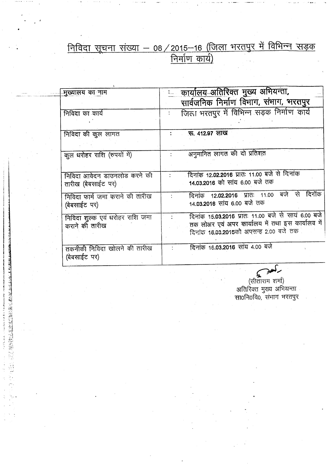### <u>निविदा सूचना संख्या — 08 / 2015—16 (जिला भरतपुर में विभिन्न सड़क</u> <u>निमाण क</u>

| मुख्यालय का नाम                 | <u>: कार्यालय अतिरिक्त मुख्य अभियन्ता,</u>          |  |  |
|---------------------------------|-----------------------------------------------------|--|--|
|                                 | सार्वजनिक निर्माण विभाग, संभाग, भरतपुर              |  |  |
| निविदा का कार्य                 | जिला भरतपुर में विभिन्न सड़क निर्माण कार्य          |  |  |
|                                 |                                                     |  |  |
| निविदा की कुल लागत              | <i>দ্</i> ন, 412.97 লাভ                             |  |  |
|                                 |                                                     |  |  |
| कूल धरोहर राशि (रुपयों में)     | अनुमानित लागत की दो प्रतिशत                         |  |  |
|                                 |                                                     |  |  |
| निविदा आवेदन डाउनलोड करने की    | दिनांक 12.02.2016 प्रातः 11.00 बजे से दिनांक        |  |  |
| तारीख (बेबसाईट पर)              | 14.03.2016 को सांय 6,00 बजे तक                      |  |  |
| निविदा फार्म जमा कराने की तारीख | दिनांक 12.02.2016 प्रातः 11.00 बजे से<br>दिनॉक      |  |  |
| (बेबसाईट पर)                    | 14 <b>.03.2016</b> सांय 6.00 बजे तक                 |  |  |
| निविदा शुल्क एवं धरोहर राशि जमा | दिनांक 15.03.2016 प्रातः 11.00 बजे से सायं 6.00 बजे |  |  |
| कराने की तारीख                  | तक लोअर एवं अपर कार्यालय में तथा इस कार्यालय में    |  |  |
|                                 | दिनांक 18.03.2018को अपसन्ह 2.00 बजे तक              |  |  |
|                                 |                                                     |  |  |
| तकनीकी निविदा खोलने की तारीख    | दिनांक 16.03.2016 सांय 4.00 बजे                     |  |  |
| (बेबसाईट पर)                    |                                                     |  |  |
|                                 |                                                     |  |  |

TANK KO LETTER A REAN METAL

サイナル きゅうきゅう じょうしゅう

्र्रुलेख्ये<br>(सीताराम शर्मा)<br>आतिरिक्त मुख्य अभियन्ता<br>साoनिoविo, संभाग भरतपुर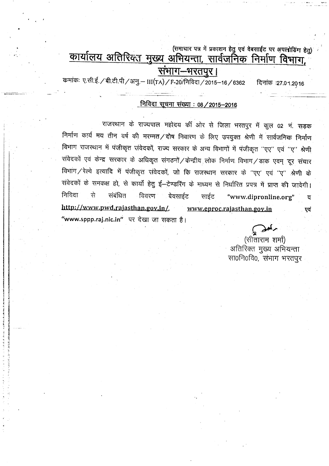(समाचार पत्र में प्रकाशन हेतु एवं वेबसाईट पर अपलोडिंग हेत)

# <u>कार्यालय अतिरिक्त मुख्य अभियन्ता, सार्वजनिक निर्माण विभाग,</u>

" ,

 $\vert$ I

I

\_. ""

## संभाग–भरतपुर।

कमांकः ए.सी.ई./बी.टी.पी/अनु.— III(TA)/F-20/निविदा/2015-16/6362 - दिनांक :27.01.2016

### <u>निविदा सूचना संख्या : 08 / 2015-2016</u>

राजस्थान के राज्यपाल महोदय की ओर से जिला भरतपुर में कुल 02 नं. सड़क निर्माण कार्य मय तीन वर्ष की मरम्मत ⁄ दोष निवारण के लिए उपयुक्त श्रेणी में सार्वजनिक निर्माण ,<br>विभाग राजस्थान में पंजीकृत संवेदकों, राज्य सरकार के अन्य विभागों में पंजीकृत ''एए'' एवं ''ए'' श्रे \!:j~<sup>G</sup> Cf)'j .~ <sup>~</sup> \9,<¢ 1'< \* ~ xfrro::rr /~ <sup>~</sup> f.il:rfur. <sup>~</sup> /-;srcp <sup>~</sup> .~. "#-trR विभाग ⁄ रेल्वे इत्यादि में पंजीकृत संवेदकों, जो कि राजस्थान सरकार के ''एए' एवं ''ए'' श्रेणी के .<br>संवेदकों के समकक्ष हो, से कार्यों हेतु ई—टेण्डरिंग के माध्यम से निर्धारित प्रपत्र में प्राप्त की जावेगी। निविदा से संबंधित विवरण बेवसाईट साईट "www.dipronline.org" व **http://www.pwd.rajasthan.goy.in/.** www.eproc.rajasthan.gov.in एवं "www.sppp.raj.nic.in" पर देखा जा सकता है।

 $\mathbf{v}$ 

(सीताराम शर्मा) अतिरिक्त मुख्य अभियन्ता सा0नि0वि0, संभाग भरतपूर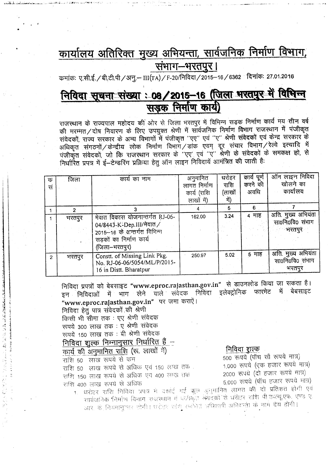# <u>कार्यालय अतिरिक्त मुख्य अभियन्ता, सार्वजनिक निर्माण विभाग,</u> <u>संभाग-भरतपुर।</u>

कमांकः ए.सी.ई./बी.टी.पी/अनु.– III(TA)/F-20/निविदा/2015–16/6362 ल्यांकः 27.01.2016

# <u> निविदा सूचना संख्या : 08/2015-16 (जिला भरतपुर में विभि</u> <u>निविदा सूचना संख्या : 08/2015–16 (जिला भरतपुर म</u><br>संइक निर्माण कार्य)

राजस्थान के राज्यपाल महोदय की ओर से जिला भरतपुर में विभिन्न सड़क निर्माण कार्य मय तीन वर्ष राजस्थान के राज्यपाल महोदय की आर से जिला भरतपुर में विभिन्न संडक निर्माण कीय नये तान पर्वे<br>की मरम्मत ⁄ दोष निवारण के लिए उपयुक्त श्रेणी में सार्वजनिक निर्माण विभाग राजस्थान में पंजीकृत संवेदकों, राज्य सरकार के अन्य विभागों में पंजीकृत ''एए'' एवं ''ए'' श्रेणी संवेदकों एवं केन्द्र सरकार के  $\frac{1}{2}$ अधिकृत संगठनों $\sqrt{a}$ न्द्रीय लोक निर्माण विभाग $\sqrt{3}$ क एवम् दूर संचार विभाग $\sqrt{3}$ ल्वे इत्यादि में अधिकृत संगठनां/कन्द्रीय लाक निर्माण विभाग/ डीके एवम् दूर संचार विनागे/ रेल्वे इर्प्याप्त गै<br>पंजीकृत संवेदकों, जो कि राजस्थान सरकार के "एए' एवं "ए" श्रेणी के संवेदकों के समकक्ष हो, से निर्धारित प्रपत्र में ई-टेन्डरिंग प्रक्रिया हेतु ऑन लाइन निविदायें आमंत्रित की जाती है:

| क<br>सं        | जिला   | कार्य का नाम                                                                                                                            | अनुमानित<br>लागत निर्माण<br>कार्य (राशि<br>लाखों में) | धरोहर<br>राशि<br>(लाखों<br>में) | काय<br>पूर्ण<br>करने की<br>अवधि | ऑन लाइन निविदा<br>खोलने का<br>कार्यालय          |
|----------------|--------|-----------------------------------------------------------------------------------------------------------------------------------------|-------------------------------------------------------|---------------------------------|---------------------------------|-------------------------------------------------|
|                |        |                                                                                                                                         |                                                       | 5                               | 6                               |                                                 |
|                | भरतपुर | मेवात विकास योजनान्तर्गत RJ-06-<br>04/8443-K-Dep.III/मेवात /<br>2015-16 के अन्तर्गत विभिन्न<br>सड़कों का निर्माण कार्य<br>(जिला–भरतपुर) | 162.00                                                | 3.24                            | 4 माह                           | अति. मुख्य अभियंता<br>सा0नि0वि0 संभाग<br>भरतपुर |
| $\overline{2}$ | भरतपुर | Constt. of Missing Link Pkg.<br>No. RJ-06-06/5054/ML/P/2015-<br>16 in Distt. Bharatpur                                                  | 250.97                                                | 5.02                            | 5 माह                           | अति. मुख्य अभियंता<br>सा0नि0वि0 संभाग<br>भरतपुर |

निविदा प्रपत्रों को बेबसाइट "www.eproc.rajasthan.gov.in" से डाउनलोड किया जा सकता है।<br>—— Cfarm के अपना पोर्ट काने समेटक निविद्या इलेक्टोनिक फारमेट में बेबसाइट इन निविदाओं में भाग लेने वाले संवेदक निविदा इलेक्ट्रोनिक फारमेट में "www.eproc.rajasthan.gov.in" पर जमा कराऐं।

निविदा हेतु पात्र संवेदकों की श्रेणी

**THE PLATFORM STATE AND THE PARTIES** 

किसी भी सीमा तक : एए श्रेणी संवेदक रूपये 300 लाख तक : ए श्रेणी संवेदक रूपये 150 लाख तक : बी श्रेणी संवेदक

## <u>निविदा शुल्क निम्नानुसार निर्धारित हैं –</u>

कार्य की अनुमानित राशि (रू. लाखों में) राशि 50 लाख रूपये से कम राशि 50 लाख रूपये से अधिक एवं 150 लाख तक. राशि 150 लाख रूपये से अधिक एवं 400 लाख तक राशि 400 लाख रूपये से अधिक

#### निविदा शुल्क

500 रूपये (पॉच सौ रूपये मात्र) 1,000 रूपये (एक हजार रूपये मात्र) 2000 रूपये (दो हजार रूपये मात्र) 5,000 रूपये (पॉच हजार रूपये मात्र)

1. धरोहर राशि निविदा प्रपत्र में दर्शाई गई कुल अनुमानित लागत की दो प्रतिशत होगी एवं  $\frac{1}{2}$ ा $\frac{1}{2}$ ा $\frac{1}{2}$ ा $\frac{1}{2}$  .  $\frac{1}{2}$  . [20:11] . [20:11] संपादिकों से धुरोहर सांश पी उल्चू एफ्. एण्ड ए आर. के नियमानुसार होगी। धरोहर सांशु सर्वश्रेत अधिशाणी अभियन्ती के नाम देय होगी।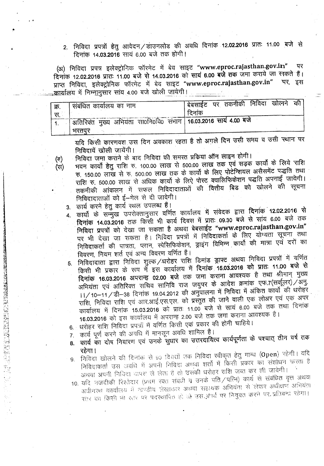2. निविदा प्रपत्रों हेतु आवेदन $/$ डाउनलोड की अवधि दिनांक 12.02.2016 प्रातः 11.00 बजे से दिनांक 14.03.2016 साय 6.00 बजे तक होगी।

(अ) निविदा प्रपत्र इलेक्ट्रोनिक फॉरमेट में बेव साइट "www.eproc.rajasthan.gov.in" पर दिनांक 12.02.2016 प्रातः 11.00 बजे से 14.03.2016 को सायं 6.00 बजे तक जमा कराये जा स्वकते हैं।<br>पुणून, निविद्य, नवेक्टोनिक, फॉरपेट, में, बेद, साइट, "www.enroc.rajasthan.gov.in" , पर, इस प्राप्त निविदा, इलेक्ट्रोनिक फॉरमेट में बेव साइट "www.eproc.rajasthan.gov.in" .<u>कार्यालय में निम्नानु</u>सार सांय 4.00 बजे खोली जायेगी।

| क्र,<br>स | संबंधित कार्यालय का नाम                                                  | <sup>।</sup> बेबसाईट पर तकनीकी निविदा खोलने को <sub>।</sub><br>दिनांक |
|-----------|--------------------------------------------------------------------------|-----------------------------------------------------------------------|
|           | खितिरिक्त मुख्य अभियंता सा0नि0यि0 समाग 16.03.2016 साय 4.00 बर्ज<br>भरतपर |                                                                       |

यदि किसी कारणवश उस दिन अवकाश रहता है तो अगले दिन उसी समय व उसी स्थान पर निविदायें खोली जायेंगी।

- (व) निविदा जमा कराने के बाद निविदा की समस्त प्रकिया ऑन लाइन होगी।<br>(स) भवन कार्यों हेतु राशि रु. 100.00 लाख से 500.00 लाख तक एवं सड़क भवन कार्यों हेतु राशि रु. 100.00 लाख से 500.00 लाख तक एवं सड़क कार्यों के लिये राशि  $~\sigma$  150.00 लाख से रु. 500.00 लाख तक के कार्यों के लिए पोटेन्शियल असैसमेंट पद्धति तथा राशि रु. 500.00 लाख से अधिक कार्यों के लिऐ पोस्ट क्वालिफिकेशन पद्धति अपनाई जावेगी। तकनीकी आंकलन में सफल निविदादाताओं की वित्तीय बिड को खोलने की सूचना निविदादाताओं को ई-मेल से दी जावेगी।
	- 3. कार्य करने हेतु कार्य स्थल उपलब्ध हैं।

..

..

- 4. कार्यों के सम्मुख उपरोक्तानुसार वर्णित कार्यालय में संवेदक द्वारा दिनांक 12.02.2016 से दिनांक 14.03.2016 तक किसी भी कार्य दिवस में प्रातः 09.30 बजे से सांय 6.00 बजे तक निविदा प्रपत्रों को देखा जा सकता है अथवा बेबसाईट "www.eproc.rajasthan.gov.in" पर भी देखा जा सकता है। निविदा प्रपत्रों में निविदाकर्ता के लिए योग्यता सूचना तथा निविदाकर्ता की पात्रता, प्लान, स्पेसिफिकेशन, ड्राइंग विभिन्न कार्यों की मात्रा एवं दरों का विवरण, नियम शर्त एवं अन्य विवरण वर्णित है।
- 5. निविदादाता द्वारा निविदा शुल्क ⁄ धरोहर राशि डिमांड ड्राफ्ट अथवा निविदा प्रपत्रों में वर्णित किसी भी प्रकार के रूप में इस कार्यालय में **दिनांक 15.03.2016 को प्रातः 11.00 बजे से** दिनांक 16.03.2016 अपरान्ह 02.00 बजे तक जमा कराना आवश्यक है तथा श्रीमान् मुख्य अभियंता एवं अतिरिक्त सचिव सानिवि राज जयुपर के आदेश क्रमांक एफ.7(सर्कूलर) ज्ञिनु.  $11/10-11/$ डी-38 दिनांक 19.04.2012 की अनुपालना में निविदा में अंकित कार्यो की धरोहर राशि, निविदा राशि एवं आर.आई.एस.एल. को प्रस्तुत की जाने वाली एक लोअर एवं एक अपर कार्यालय में दिनांक 15.03.2016 को प्रातः 11.00 बजे से सायं 6.00 बजे तक तथा दिनांक 16.03.2016 को इस कार्यालय में अपरान्ह 2.00 बजे तक जमा कराना आवश्यक है।
- 6. धरोहर राशि निविदा प्रपत्रों में वर्णित किसी एक प्रकार की होनी चाहिये।
	- कार्य पूर्ण करने की अवधि में मानसून अवधि शामिल है।
- 8. कार्य का दोष निवारण एवं उनके सुधार का उत्तरदायित्व कार्यपूर्णता के पश्चात् तीन वर्ष तक रहेगा
- $9.$  निविदा खोलने की दिनांक से 90 दिवसों तक निविदा स्वीकृत हुतु मान्य (Open) रहेगा। य निविदाकर्ता उस अवधि में अपनी निविदा अथवा शर्तों में किसी प्रकार का संशोधन करता है अथवा अपनी निविदा दापस ले लेता है तो उसकी धरोहर राशि जब्त कर ली जावेगी।
- 10. यदि नजदीकी रिश्तेदार (प्रथम रक्त संबंधी व उनके पति / पत्नि) कार्य से संबंधित वृत्त अथवा अधीनस्थ कार्यालय में न्वण्डीय लेखाकार अथवा सहायक अभियंता से लेकर अधीक्षण अभियंता रतर का किसी भी रतर पर पदरथापित हो जो उसे कार्य पर नियुक्त करने पर प्रतिबन्ध रहेगा।